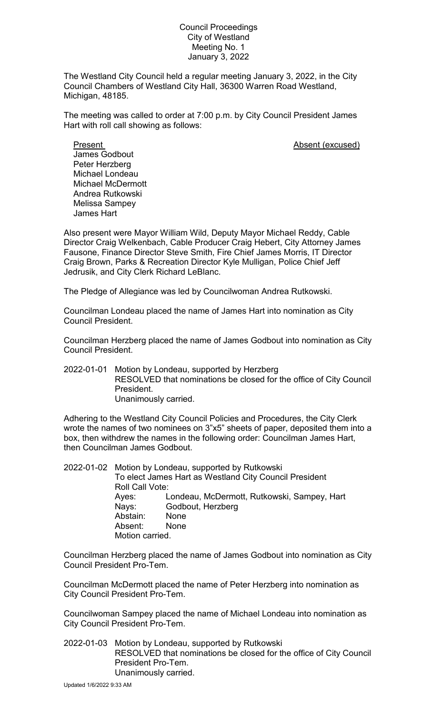## Council Proceedings City of Westland Meeting No. 1 January 3, 2022

The Westland City Council held a regular meeting January 3, 2022, in the City Council Chambers of Westland City Hall, 36300 Warren Road Westland, Michigan, 48185.

The meeting was called to order at 7:00 p.m. by City Council President James Hart with roll call showing as follows:

Present **Absent** (excused) James Godbout Peter Herzberg Michael Londeau Michael McDermott Andrea Rutkowski Melissa Sampey James Hart

Also present were Mayor William Wild, Deputy Mayor Michael Reddy, Cable Director Craig Welkenbach, Cable Producer Craig Hebert, City Attorney James Fausone, Finance Director Steve Smith, Fire Chief James Morris, IT Director Craig Brown, Parks & Recreation Director Kyle Mulligan, Police Chief Jeff Jedrusik, and City Clerk Richard LeBlanc.

The Pledge of Allegiance was led by Councilwoman Andrea Rutkowski.

Councilman Londeau placed the name of James Hart into nomination as City Council President.

Councilman Herzberg placed the name of James Godbout into nomination as City Council President.

2022-01-01 Motion by Londeau, supported by Herzberg RESOLVED that nominations be closed for the office of City Council President. Unanimously carried.

Adhering to the Westland City Council Policies and Procedures, the City Clerk wrote the names of two nominees on 3"x5" sheets of paper, deposited them into a box, then withdrew the names in the following order: Councilman James Hart, then Councilman James Godbout.

|  | 2022-01-02 Motion by Londeau, supported by Rutkowski<br>To elect James Hart as Westland City Council President<br>Roll Call Vote: |                                                                          |
|--|-----------------------------------------------------------------------------------------------------------------------------------|--------------------------------------------------------------------------|
|  | Ayes:<br>Nays:<br>Abstain:                                                                                                        | Londeau, McDermott, Rutkowski, Sampey, Hart<br>Godbout, Herzberg<br>None |
|  | Absent:<br>Motion carried.                                                                                                        | None                                                                     |

Councilman Herzberg placed the name of James Godbout into nomination as City Council President Pro-Tem.

Councilman McDermott placed the name of Peter Herzberg into nomination as City Council President Pro-Tem.

Councilwoman Sampey placed the name of Michael Londeau into nomination as City Council President Pro-Tem.

2022-01-03 Motion by Londeau, supported by Rutkowski RESOLVED that nominations be closed for the office of City Council President Pro-Tem. Unanimously carried.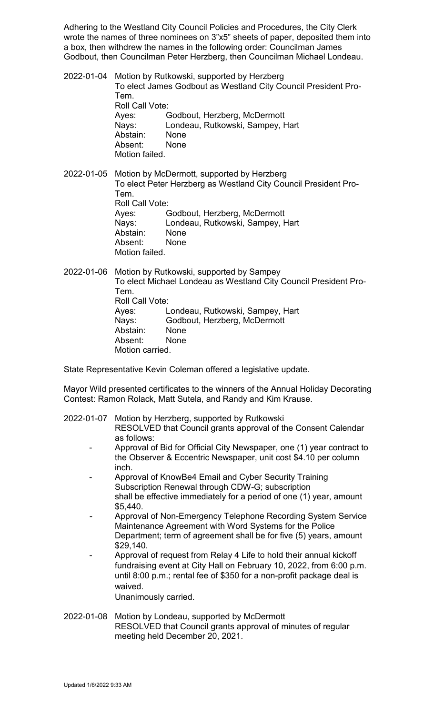Adhering to the Westland City Council Policies and Procedures, the City Clerk wrote the names of three nominees on 3"x5" sheets of paper, deposited them into a box, then withdrew the names in the following order: Councilman James Godbout, then Councilman Peter Herzberg, then Councilman Michael Londeau.

2022-01-04 Motion by Rutkowski, supported by Herzberg To elect James Godbout as Westland City Council President Pro-Tem. Roll Call Vote:<br>Ayes: C Godbout, Herzberg, McDermott Nays: Londeau, Rutkowski, Sampey, Hart Abstain: None Absent: None Motion failed.

2022-01-05 Motion by McDermott, supported by Herzberg To elect Peter Herzberg as Westland City Council President Pro-Tem. Roll Call Vote: Ayes: Godbout, Herzberg, McDermott Nays: Londeau, Rutkowski, Sampey, Hart Abstain: None Absent: None Motion failed.

2022-01-06 Motion by Rutkowski, supported by Sampey To elect Michael Londeau as Westland City Council President Pro-Tem. Roll Call Vote: Ayes: Londeau, Rutkowski, Sampey, Hart Nays: Godbout, Herzberg, McDermott Abstain: None Absent: None Motion carried.

State Representative Kevin Coleman offered a legislative update.

Mayor Wild presented certificates to the winners of the Annual Holiday Decorating Contest: Ramon Rolack, Matt Sutela, and Randy and Kim Krause.

2022-01-07 Motion by Herzberg, supported by Rutkowski

- RESOLVED that Council grants approval of the Consent Calendar as follows:
- Approval of Bid for Official City Newspaper, one (1) year contract to the Observer & Eccentric Newspaper, unit cost \$4.10 per column inch.
- Approval of KnowBe4 Email and Cyber Security Training Subscription Renewal through CDW-G; subscription shall be effective immediately for a period of one (1) year, amount \$5,440.
- *-* Approval of Non-Emergency Telephone Recording System Service Maintenance Agreement with Word Systems for the Police Department; term of agreement shall be for five (5) years, amount \$29,140.
- Approval of request from Relay 4 Life to hold their annual kickoff fundraising event at City Hall on February 10, 2022, from 6:00 p.m. until 8:00 p.m.; rental fee of \$350 for a non-profit package deal is waived.

Unanimously carried.

2022-01-08 Motion by Londeau, supported by McDermott RESOLVED that Council grants approval of minutes of regular meeting held December 20, 2021.